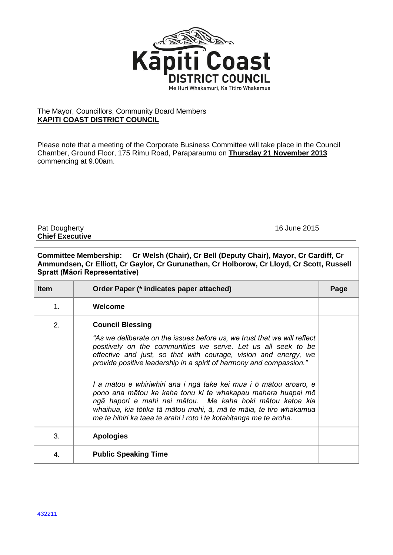

## The Mayor, Councillors, Community Board Members **KAPITI COAST DISTRICT COUNCIL**

Please note that a meeting of the Corporate Business Committee will take place in the Council Chamber, Ground Floor, 175 Rimu Road, Paraparaumu on **Thursday 21 November 2013** commencing at 9.00am.

Pat Dougherty **16 June 2015 Chief Executive**

| Committee Membership: Cr Welsh (Chair), Cr Bell (Deputy Chair), Mayor, Cr Cardiff, Cr<br>Ammundsen, Cr Elliott, Cr Gaylor, Cr Gurunathan, Cr Holborow, Cr Lloyd, Cr Scott, Russell<br>Spratt (Māori Representative) |                                                                                                                                                                                                                                                                                                                                           |      |  |  |
|---------------------------------------------------------------------------------------------------------------------------------------------------------------------------------------------------------------------|-------------------------------------------------------------------------------------------------------------------------------------------------------------------------------------------------------------------------------------------------------------------------------------------------------------------------------------------|------|--|--|
| <b>Item</b>                                                                                                                                                                                                         | Order Paper (* indicates paper attached)                                                                                                                                                                                                                                                                                                  | Page |  |  |
| $\mathbf{1}$ .                                                                                                                                                                                                      | Welcome                                                                                                                                                                                                                                                                                                                                   |      |  |  |
| 2.                                                                                                                                                                                                                  | <b>Council Blessing</b>                                                                                                                                                                                                                                                                                                                   |      |  |  |
|                                                                                                                                                                                                                     | "As we deliberate on the issues before us, we trust that we will reflect<br>positively on the communities we serve. Let us all seek to be<br>effective and just, so that with courage, vision and energy, we<br>provide positive leadership in a spirit of harmony and compassion."                                                       |      |  |  |
|                                                                                                                                                                                                                     | I a mātou e whiriwhiri ana i ngā take kei mua i ō mātou aroaro, e<br>pono ana mātou ka kaha tonu ki te whakapau mahara huapai mō<br>ngā hapori e mahi nei mātou. Me kaha hoki mātou katoa kia<br>whaihua, kia tōtika tā mātou mahi, ā, mā te māia, te tiro whakamua<br>me te hihiri ka taea te arahi i roto i te kotahitanga me te aroha. |      |  |  |
| 3.                                                                                                                                                                                                                  | <b>Apologies</b>                                                                                                                                                                                                                                                                                                                          |      |  |  |
| 4.                                                                                                                                                                                                                  | <b>Public Speaking Time</b>                                                                                                                                                                                                                                                                                                               |      |  |  |